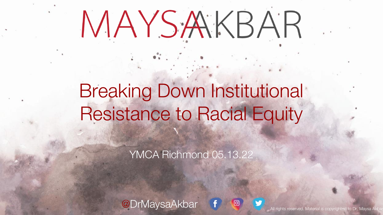# MAYSAKBAR

# Breaking Down Institutional Resistance to Racial Equity

YMCA Richmond 05.13.22

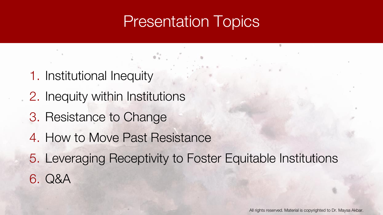#### Presentation Topics

 $\mathbf{a}^{\mathbf{a}}$  ,  $\mathbf{a}^{\mathbf{a}}$ 

- 1. Institutional Inequity
- 2. Inequity within Institutions
- 3. Resistance to Change
- 4. How to Move Past Resistance
- 5. Leveraging Receptivity to Foster Equitable Institutions 6. Q&A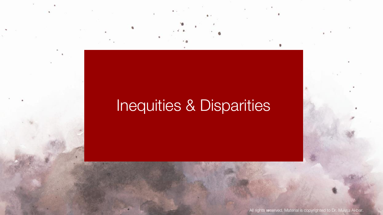# Inequities & Disparities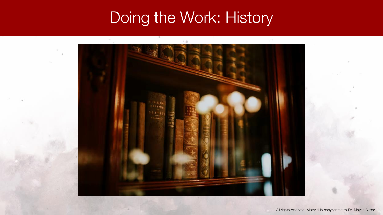#### Doing the Work: History

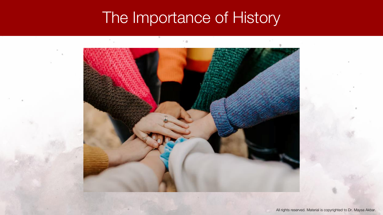#### The Importance of History

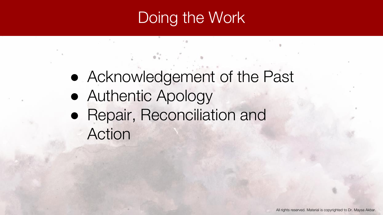#### Doing the Work

- Acknowledgement of the Past
- Authentic Apology
- Repair, Reconciliation and Action

 $\mathbf{v}^{\mathbf{a}}$  ,  $\mathbf{v}^{\mathbf{a}}$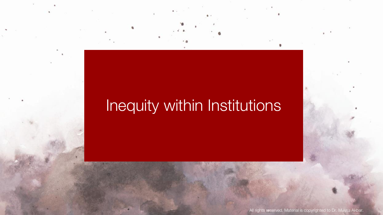#### Inequity within Institutions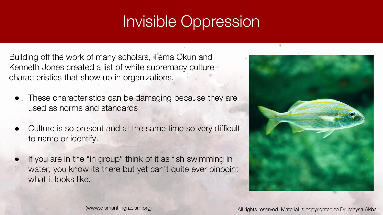# Invisible Oppression

Building off the work of many scholars, Tema Okun and Kenneth Jones created a list of white supremacy culture characteristics that show up in organizations.

- These characteristics can be damaging because they are used as norms and standards
- Culture is so present and at the same time so very difficult to name or identify.
- If you are in the "in group" think of it as fish swimming in water, you know its there but yet can't quite ever pinpoint what it looks like.

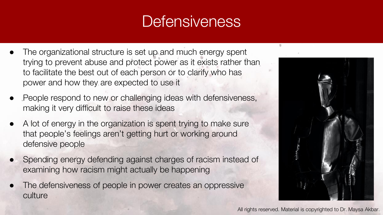#### **Defensiveness**

- The organizational structure is set up and much energy spent trying to prevent abuse and protect power as it exists rather than to facilitate the best out of each person or to clarify who has power and how they are expected to use it
- People respond to new or challenging ideas with defensiveness, making it very difficult to raise these ideas
- A lot of energy in the organization is spent trying to make sure that people's feelings aren't getting hurt or working around defensive people
- Spending energy defending against charges of racism instead of examining how racism might actually be happening
- The defensiveness of people in power creates an oppressive culture

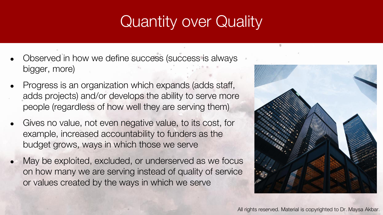## Quantity over Quality

- Observed in how we define success (success is always bigger, more)
- Progress is an organization which expands (adds staff, adds projects) and/or develops the ability to serve more people (regardless of how well they are serving them)
- Gives no value, not even negative value, to its cost, for example, increased accountability to funders as the budget grows, ways in which those we serve
- May be exploited, excluded, or underserved as we focus on how many we are serving instead of quality of service or values created by the ways in which we serve

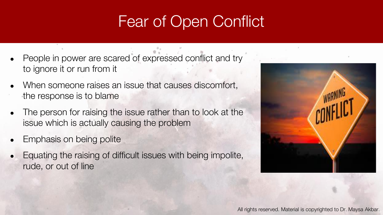## Fear of Open Conflict

- People in power are scared of expressed conflict and try to ignore it or run from it
- When someone raises an issue that causes discomfort, the response is to blame
- The person for raising the issue rather than to look at the issue which is actually causing the problem
- Emphasis on being polite
- Equating the raising of difficult issues with being impolite, rude, or out of line

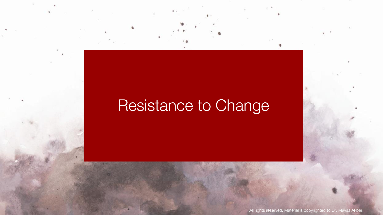#### Resistance to Change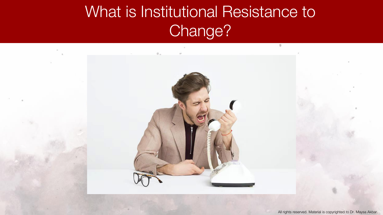# What is Institutional Resistance to Change?

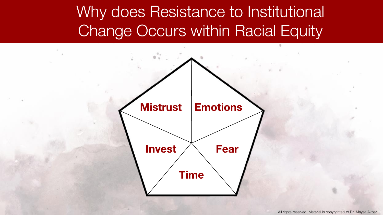### Why does Resistance to Institutional Change Occurs within Racial Equity

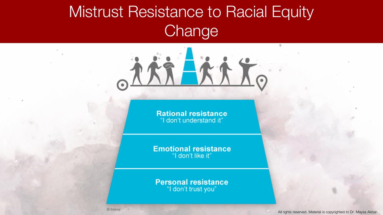# Mistrust Resistance to Racial Equity **Change**

**Rational resistance** "I don't understand it"

方方式する

**Emotional resistance** "I don't like it"

**Personal resistance** "I don't trust you"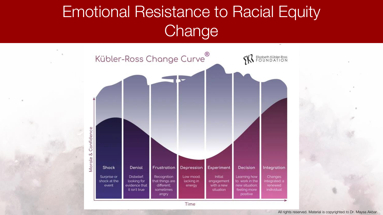# Emotional Resistance to Racial Equity **Change**



Time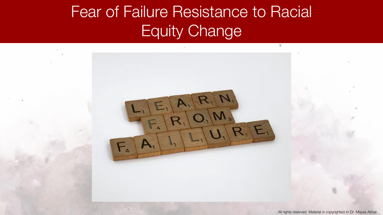# Fear of Failure Resistance to Racial Equity Change

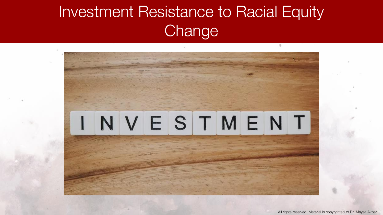# Investment Resistance to Racial Equity **Change**

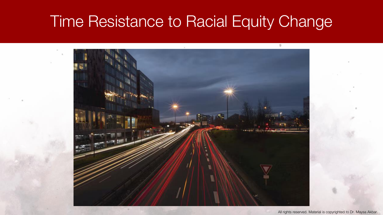#### Time Resistance to Racial Equity Change

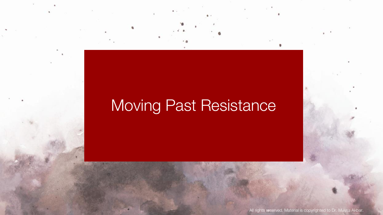# Moving Past Resistance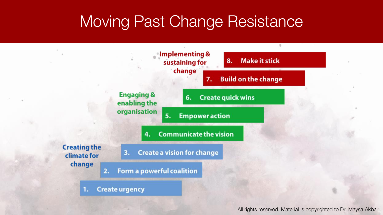#### Moving Past Change Resistance

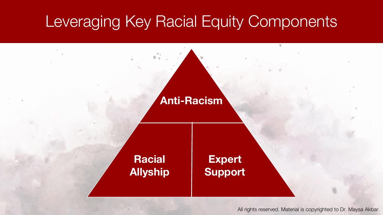#### Leveraging Key Racial Equity Components

#### **Anti-Racism**

#### **Racial Allyship**

#### **Expert Support**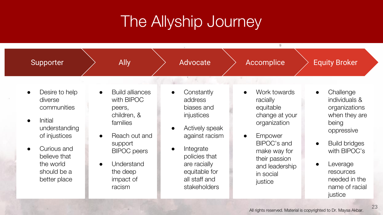### The Allyship Journey

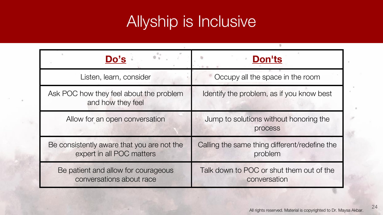#### Allyship is Inclusive

| Do's                                                                    | <b>Don'ts</b>                                            |
|-------------------------------------------------------------------------|----------------------------------------------------------|
| Listen, learn, consider                                                 | Occupy all the space in the room                         |
| Ask POC how they feel about the problem<br>and how they feel            | Identify the problem, as if you know best                |
| Allow for an open conversation                                          | Jump to solutions without honoring the<br>process        |
| Be consistently aware that you are not the<br>expert in all POC matters | Calling the same thing different/redefine the<br>problem |
| Be patient and allow for courageous<br>conversations about race         | Talk down to POC or shut them out of the<br>conversation |

24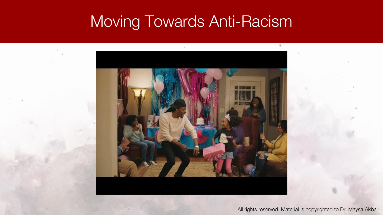#### Moving Towards Anti-Racism

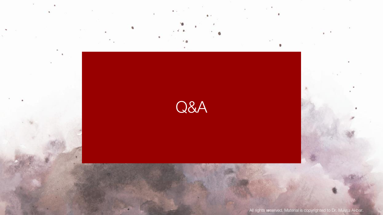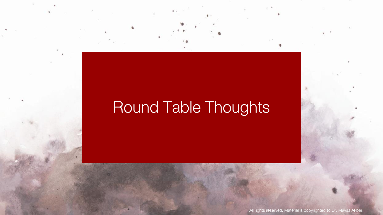#### Round Table Thoughts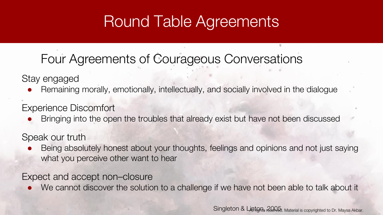#### Round Table Agreements

#### Four Agreements of Courageous Conversations

Stay engaged

Remaining morally, emotionally, intellectually, and socially involved in the dialogue

Experience Discomfort

Bringing into the open the troubles that already exist but have not been discussed

Speak our truth

Being absolutely honest about your thoughts, feelings and opinions and not just saying what you perceive other want to hear

Expect and accept non–closure

● We cannot discover the solution to a challenge if we have not been able to talk about it

Singleton & Linton, 2005. Material is copyrighted to Dr. Maysa Akbar.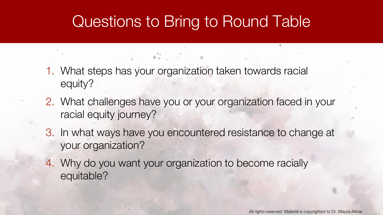#### Questions to Bring to Round Table

1. What steps has your organization taken towards racial equity?

**CONTRACTOR** 

- 2. What challenges have you or your organization faced in your racial equity journey?
- 3. In what ways have you encountered resistance to change at your organization?
- 4. Why do you want your organization to become racially equitable?